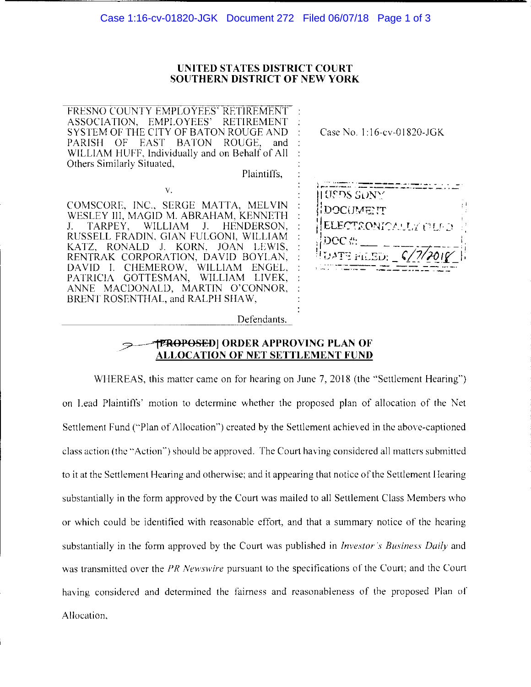### UNITED STATES DISTRICT COURT **SOUTHERN DISTRICT OF NEW YORK**

FRESNO COUNTY EMPLOYEES' RETIREMENT ASSOCIATION, EMPLOYEES' **RETIREMENT** SYSTEM OF THE CITY OF BATON ROUGE AND PARISH OF **EAST BATON** ROUGE, and WILLIAM HUFF, Individually and on Behalf of All Others Similarly Situated,

V.

Plaintiffs.

COMSCORE, INC., SERGE MATTA, MELVIN WESLEY III, MAGID M. ABRAHAM, KENNETH  $J_{\star}$ TARPEY, **WILLIAM**  $J_{\tau}$ HENDERSON. RUSSELL FRADIN, GIAN FULGONI, WILLIAM KATZ, RONALD J. KORN, JOAN LEWIS, RENTRAK CORPORATION, DAVID BOYLAN, DAVID I. CHEMEROW, WILLIAM ENGEL, PATRICIA GOTTESMAN, WILLIAM LIVEK, ANNE MACDONALD, MARTIN O'CONNOR, BRENT ROSENTHAL, and RALPH SHAW,

Case No. 1:16-cv-01820-JGK



**TPROPOSED** ORDER APPROVING PLAN OF

Defendants.

# **ALLOCATION OF NET SETTLEMENT FUND**

WHEREAS, this matter came on for hearing on June 7, 2018 (the "Settlement Hearing") on Lead Plaintiffs' motion to determine whether the proposed plan of allocation of the Net Settlement Fund ("Plan of Allocation") created by the Settlement achieved in the above-captioned class action (the "Action") should be approved. The Court having considered all matters submitted to it at the Settlement Hearing and otherwise; and it appearing that notice of the Settlement Hearing substantially in the form approved by the Court was mailed to all Settlement Class Members who or which could be identified with reasonable effort, and that a summary notice of the hearing substantially in the form approved by the Court was published in *Investor's Business Daily* and was transmitted over the PR Newswire pursuant to the specifications of the Court; and the Court having considered and determined the fairness and reasonableness of the proposed Plan of Allocation,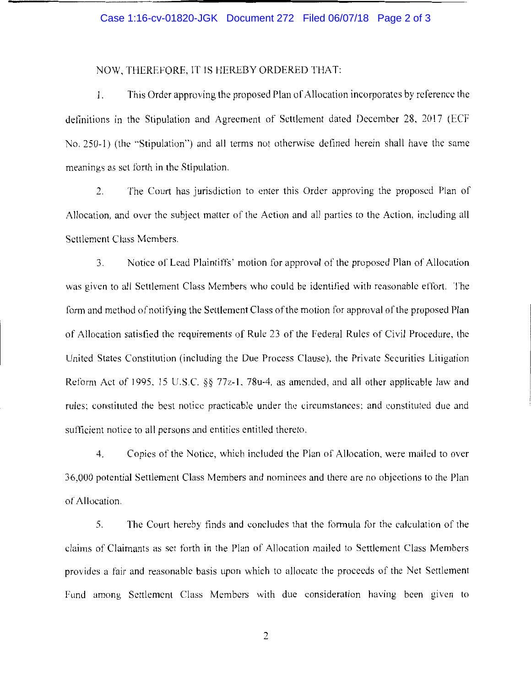## Case 1:16-cv-01820-JGK Document 272 Filed 06/07/18 Page 2 of 3

#### NOW, THEREFORE, IT IS HEREBY ORDERED THAT:

1. This Order approving the proposed Plan of Allocation incorporates by reference the definitions in the Stipulation and Agreement of Settlement dated December 28, 2017 (ECF No. 250-1) (the "Stipulation") and all terms not otherwise defined herein shall have the same meanings as set forth in the Stipulation.

2. The Court has jurisdiction to enter this Order approving the proposed Plan of Allocation, and over the subject matter of the Action and all parties to the Action, including all Settlement Class Members.

3. Notice or Lead Plaintiffs' motion for approval of the proposed Plan or Allocation was given to all Settlement Class Members who could be identified with reasonable effort. The form and method of notifying the Settlement Class of the motion for approval of the proposed Plan of Allocation satisfied the requirements of Rule 23 of the Federal Rules of Civil Procedure, the United States Constitution (including the Due Process Clause), the Private Securities Litigation Reform Act of 1995, 15 U.S.C.  $\S$  $\S$  77z-1, 78u-4, as amended, and all other applicable law and rules: constituted the best notice practicable under the circumstances: and constituted due and sufficient notice to all persons and entities entitled thereto.

4. Copies of the Notice, which included the Plan of Allocation, were mailed to over 36,000 potential Settlement Class Members and nominees and there are no objections to the Plan of Allocation.

5. The Court hereby finds and concludes that the formula for the calculation of the claims of Claimants as set forth in the Plan of Allocation mailed to Settlement Class Members provides a fair and reasonable basis upon which to allocate the proceeds of the Net Settlement Fund among Settlement Class Members with due consideration having been given to

2